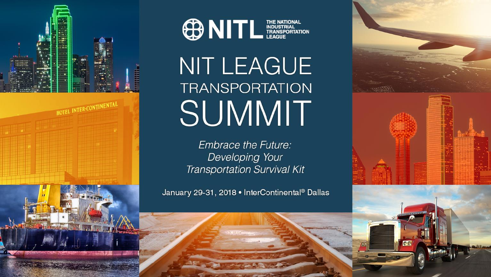



# NIT LEAGUE **TRANSPORTATION** SUMMIT

**Embrace the Future:** Developing Your **Transportation Survival Kit** 

January 29-31, 2018 • InterContinental® Dallas

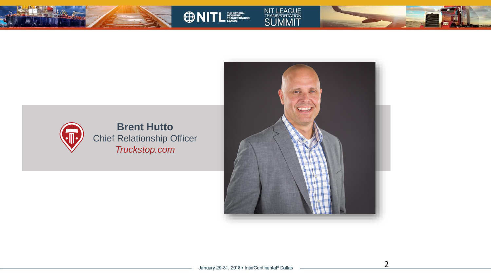



NIT LEAGUE<br>TRANSPORTATION<br>SUMMIT

**ONITLESS** 

2

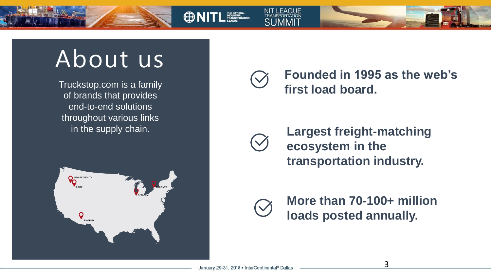About us

Truckstop.com is a family of brands that provides end-to-end solutions throughout various links in the supply chain.



**Founded in 1995 as the web's first load board.** 



**ONITL EXECUTER** 

**NIT LEAGUE** 

**Largest freight-matching ecosystem in the transportation industry.**



**More than 70-100+ million loads posted annually.**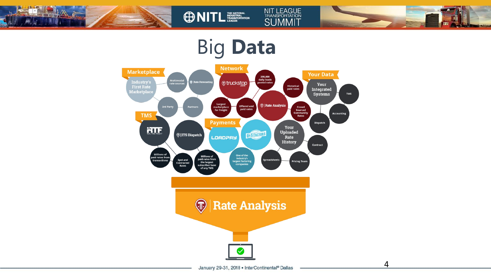

## Big **Data**

**ONITL ESSENTIAL** 

NIT LEAGUE<br>TRANSPORTATION<br>SUMMIT



January 29-31, 2018 . InterContinental® Dallas

4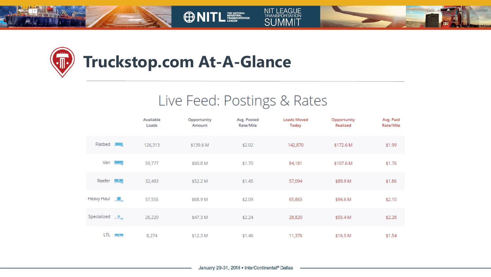

 $\sqrt{\mathbb{I}}$ 



### **Truckstop.com At-A-Glance**

**ONITLESS** 

#### Live Feed: Postings & Rates

NIT LEAGUE<br>TRANSPORTATION<br>SUMMIT

|                                                           | Available<br>Loads | Opportunity<br>Amount | Avg. Posted<br>Rate/Mile | <b>Loads Moved</b><br>Today | Opportunity<br>Realized | Avg. Paid<br>Rate/Mile |
|-----------------------------------------------------------|--------------------|-----------------------|--------------------------|-----------------------------|-------------------------|------------------------|
| Flatbed <b>AMM</b>                                        | 126,313            | \$139.6 M             | \$2.02                   | 142,870                     | \$172.6 M               | \$1.99                 |
| Van $\begin{array}{ c c c }\n\hline\n\hline\n\end{array}$ | 59,777             | \$60.8 M              | \$1.70                   | 84,181                      | \$107.6 M               | \$1.76                 |
| Reefer $\frac{1}{2}$                                      | 32,493             | \$52.2 M              | \$1.45                   | 57,094                      | \$89.9 M                | \$1.86                 |
| Heavy Haul <b>All</b>                                     | 57,555             | \$68.9 M              | \$2.09                   | 65,865                      | \$94.6 M                | \$2.10                 |
| Specialized $\star$                                       | 26,220             | \$47.3 M              | \$2.24                   | 28,820                      | \$55.4 M                | \$2.28                 |
| LTL PUP                                                   | 8,274              | \$12.3 M              | \$1.46                   | 11,376                      | \$16.5 M                | \$1.54                 |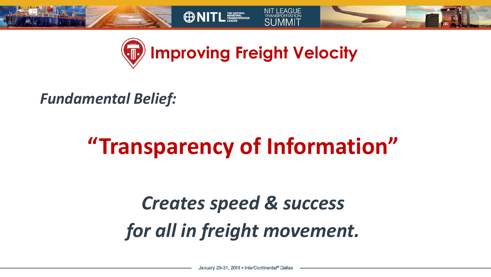



**ONITL ESSERIT** 

#### *Fundamental Belief:*

# **"Transparency of Information"**

## *Creates speed & success for all in freight movement.*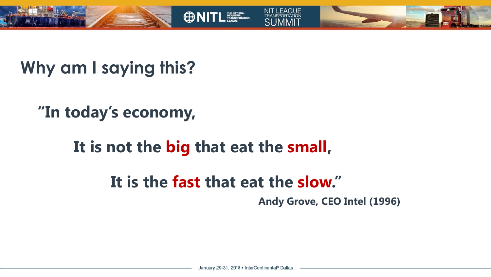





### **"In today's economy,**

#### **It is not the big that eat the small,**

#### **It is the fast that eat the slow."**

**Andy Grove, CEO Intel (1996)**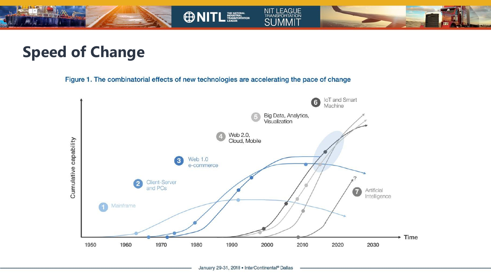

#### **Speed of Change**

Figure 1. The combinatorial effects of new technologies are accelerating the pace of change

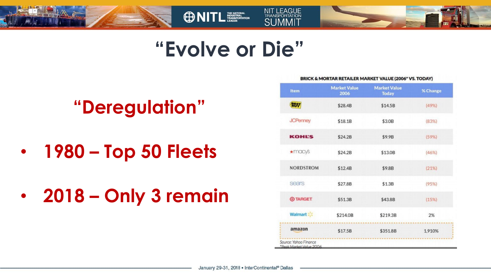



 $C<sub>1</sub>$ 

**ONITL TELECTION** 

## **"Deregulation"**

- **1980 – Top 50 Fleets**
- **2018 – Only 3 remain**

| Item             | <b>Market Value</b><br>2006 | <b>Market Value</b><br><b>Today</b> | % Change |
|------------------|-----------------------------|-------------------------------------|----------|
| <b>BEST</b>      | \$28.4B                     | \$14.5B                             | (49%)    |
| <b>JCPenney</b>  | \$18.1B                     | \$3.0B                              | (83%)    |
| <b>KOHL'S</b>    | \$24.2B                     | \$9.9B                              | (59%)    |
| $\star$ macys    | \$24.2B                     | \$13.0B                             | (46%)    |
| <b>NORDSTROM</b> | \$12.4B                     | \$9.8B                              | (21%)    |
| sears            | \$27.8B                     | \$1.3B                              | (95%)    |
| <b>O TARGET</b>  | \$51.3B                     | \$43.8B                             | (15%)    |
| Walmart :        | \$214.0B                    | \$219.3B                            | 2%       |
| amazon           | \$17.5B                     | \$351.8B                            | 1,910%   |

BRICK SAMORAD BETAILED MARKET VALLIE (2004\* VS. TODAV)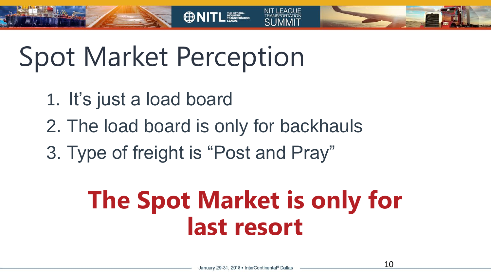Spot Market Perception

- 1. It's just a load board
- 2. The load board is only for backhauls

**ONITL WELL** 

3. Type of freight is "Post and Pray"

# **The Spot Market is only for last resort**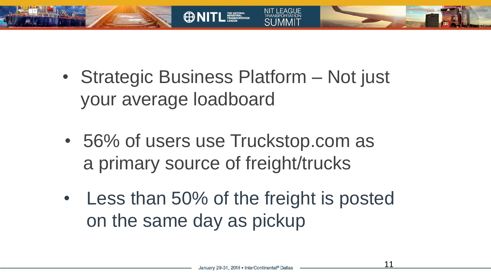

**CD NITL** 

- 56% of users use Truckstop.com as a primary source of freight/trucks
- Less than 50% of the freight is posted on the same day as pickup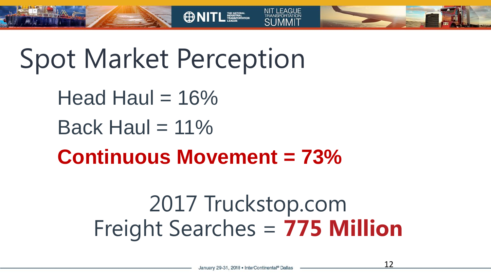Spot Market Perception

Head Haul  $= 16\%$ 

Back Haul  $= 11\%$ 

**Continuous Movement = 73%**

**ONITL ENDING THE STATE** 

## 2017 Truckstop.com Freight Searches = **775 Million**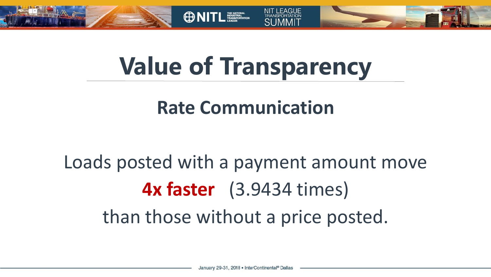



**OD NITL** 

## **Rate Communication**

## Loads posted with a payment amount move **4x faster** (3.9434 times) than those without a price posted.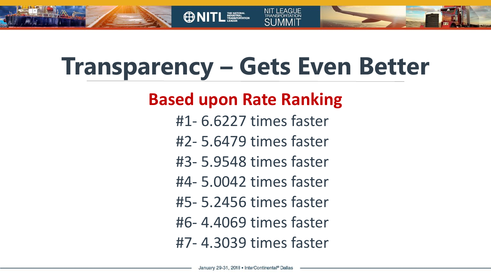

**OD NITL** 

- FAGUE

#### **Based upon Rate Ranking**

- #1- 6.6227 times faster
- #2- 5.6479 times faster
- #3- 5.9548 times faster
- #4- 5.0042 times faster
- #5- 5.2456 times faster
- #6- 4.4069 times faster
- #7- 4.3039 times faster